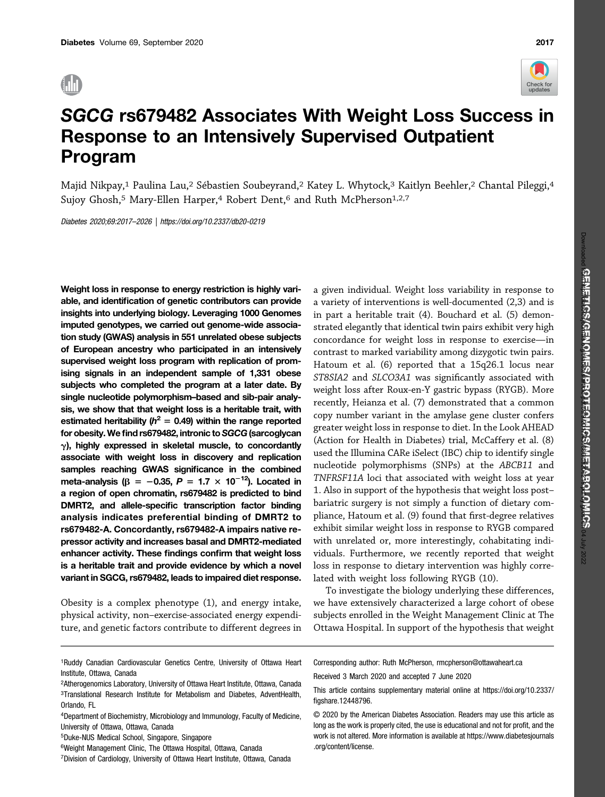

# SGCG rs679482 Associates With Weight Loss Success in Response to an Intensively Supervised Outpatient Program

Majid Nikpay,1 Paulina Lau,2 Sébastien Soubeyrand,2 Katey L. Whytock,3 Kaitlyn Beehler,2 Chantal Pileggi,4 Sujoy Ghosh,<sup>5</sup> Mary-Ellen Harper,<sup>4</sup> Robert Dent,<sup>6</sup> and Ruth McPherson<sup>1,2,7</sup>

Diabetes 2020;69:2017–2026 |<https://doi.org/10.2337/db20-0219>

Weight loss in response to energy restriction is highly variable, and identification of genetic contributors can provide insights into underlying biology. Leveraging 1000 Genomes imputed genotypes, we carried out genome-wide association study (GWAS) analysis in 551 unrelated obese subjects of European ancestry who participated in an intensively supervised weight loss program with replication of promising signals in an independent sample of 1,331 obese subjects who completed the program at a later date. By single nucleotide polymorphism–based and sib-pair analysis, we show that that weight loss is a heritable trait, with estimated heritability ( $h^2 = 0.49$ ) within the range reported for obesity. We find rs679482, intronic to SGCG (sarcoglycan  $\gamma$ ), highly expressed in skeletal muscle, to concordantly associate with weight loss in discovery and replication samples reaching GWAS significance in the combined meta-analysis ( $\beta = -0.35$ ,  $P = 1.7 \times 10^{-12}$ ). Located in a region of open chromatin, rs679482 is predicted to bind DMRT2, and allele-specific transcription factor binding analysis indicates preferential binding of DMRT2 to rs679482-A. Concordantly, rs679482-A impairs native repressor activity and increases basal and DMRT2-mediated enhancer activity. These findings confirm that weight loss is a heritable trait and provide evidence by which a novel variant in SGCG, rs679482, leads to impaired diet response.

Obesity is a complex phenotype (1), and energy intake, physical activity, non–exercise-associated energy expenditure, and genetic factors contribute to different degrees in

a given individual. Weight loss variability in response to a variety of interventions is well-documented (2,3) and is in part a heritable trait (4). Bouchard et al. (5) demonstrated elegantly that identical twin pairs exhibit very high concordance for weight loss in response to exercise—in contrast to marked variability among dizygotic twin pairs. Hatoum et al. (6) reported that a 15q26.1 locus near ST8SIA2 and SLCO3A1 was significantly associated with weight loss after Roux-en-Y gastric bypass (RYGB). More recently, Heianza et al. (7) demonstrated that a common copy number variant in the amylase gene cluster confers greater weight loss in response to diet. In the Look AHEAD (Action for Health in Diabetes) trial, McCaffery et al. (8) used the Illumina CARe iSelect (IBC) chip to identify single nucleotide polymorphisms (SNPs) at the ABCB11 and TNFRSF11A loci that associated with weight loss at year 1. Also in support of the hypothesis that weight loss post– bariatric surgery is not simply a function of dietary compliance, Hatoum et al. (9) found that first-degree relatives exhibit similar weight loss in response to RYGB compared with unrelated or, more interestingly, cohabitating individuals. Furthermore, we recently reported that weight loss in response to dietary intervention was highly correlated with weight loss following RYGB (10).

To investigate the biology underlying these differences, we have extensively characterized a large cohort of obese subjects enrolled in the Weight Management Clinic at The Ottawa Hospital. In support of the hypothesis that weight

6Weight Management Clinic, The Ottawa Hospital, Ottawa, Canada

Corresponding author: Ruth McPherson, [rmcpherson@ottawaheart.ca](mailto:rmcpherson@ottawaheart.ca)

Received 3 March 2020 and accepted 7 June 2020

This article contains supplementary material online at [https://doi.org/10.2337/](https://doi.org/10.2337/figshare.12448796) fi[gshare.12448796.](https://doi.org/10.2337/figshare.12448796)

<sup>1</sup>Ruddy Canadian Cardiovascular Genetics Centre, University of Ottawa Heart Institute, Ottawa, Canada

<sup>2</sup>Atherogenomics Laboratory, University of Ottawa Heart Institute, Ottawa, Canada 3Translational Research Institute for Metabolism and Diabetes, AdventHealth, Orlando, FL

<sup>4</sup>Department of Biochemistry, Microbiology and Immunology, Faculty of Medicine, University of Ottawa, Ottawa, Canada

<sup>5</sup>Duke-NUS Medical School, Singapore, Singapore

<sup>7</sup>Division of Cardiology, University of Ottawa Heart Institute, Ottawa, Canada

<sup>© 2020</sup> by the American Diabetes Association. Readers may use this article as long as the work is properly cited, the use is educational and not for profit, and the work is not altered. More information is available at [https://www.diabetesjournals](https://www.diabetesjournals.org/content/license) [.org/content/license](https://www.diabetesjournals.org/content/license).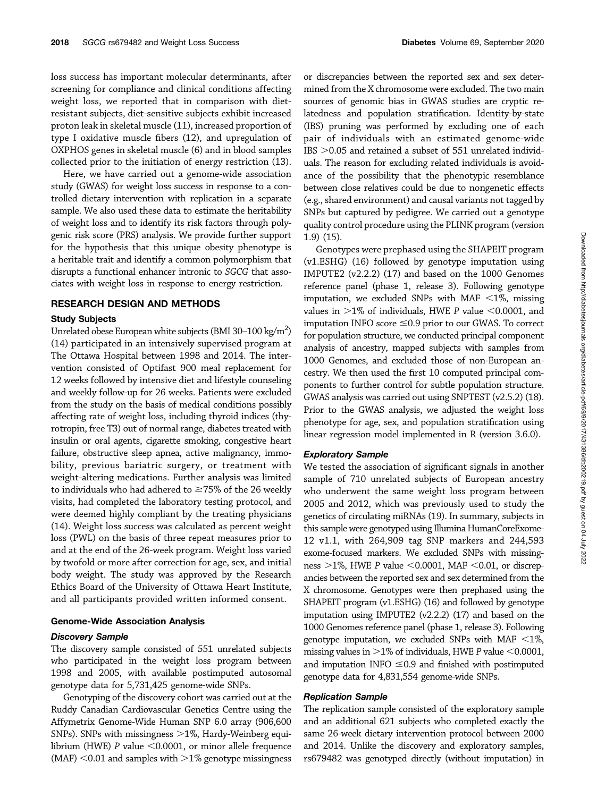loss success has important molecular determinants, after screening for compliance and clinical conditions affecting weight loss, we reported that in comparison with dietresistant subjects, diet-sensitive subjects exhibit increased proton leak in skeletal muscle (11), increased proportion of type I oxidative muscle fibers (12), and upregulation of OXPHOS genes in skeletal muscle (6) and in blood samples collected prior to the initiation of energy restriction (13).

Here, we have carried out a genome-wide association study (GWAS) for weight loss success in response to a controlled dietary intervention with replication in a separate sample. We also used these data to estimate the heritability of weight loss and to identify its risk factors through polygenic risk score (PRS) analysis. We provide further support for the hypothesis that this unique obesity phenotype is a heritable trait and identify a common polymorphism that disrupts a functional enhancer intronic to SGCG that associates with weight loss in response to energy restriction.

## RESEARCH DESIGN AND METHODS

#### Study Subjects

Unrelated obese European white subjects (BMI 30–100 kg/m<sup>2</sup>) (14) participated in an intensively supervised program at The Ottawa Hospital between 1998 and 2014. The intervention consisted of Optifast 900 meal replacement for 12 weeks followed by intensive diet and lifestyle counseling and weekly follow-up for 26 weeks. Patients were excluded from the study on the basis of medical conditions possibly affecting rate of weight loss, including thyroid indices (thyrotropin, free T3) out of normal range, diabetes treated with insulin or oral agents, cigarette smoking, congestive heart failure, obstructive sleep apnea, active malignancy, immobility, previous bariatric surgery, or treatment with weight-altering medications. Further analysis was limited to individuals who had adhered to  $\geq$ 75% of the 26 weekly visits, had completed the laboratory testing protocol, and were deemed highly compliant by the treating physicians (14). Weight loss success was calculated as percent weight loss (PWL) on the basis of three repeat measures prior to and at the end of the 26-week program. Weight loss varied by twofold or more after correction for age, sex, and initial body weight. The study was approved by the Research Ethics Board of the University of Ottawa Heart Institute, and all participants provided written informed consent.

#### Genome-Wide Association Analysis

### Discovery Sample

The discovery sample consisted of 551 unrelated subjects who participated in the weight loss program between 1998 and 2005, with available postimputed autosomal genotype data for 5,731,425 genome-wide SNPs.

Genotyping of the discovery cohort was carried out at the Ruddy Canadian Cardiovascular Genetics Centre using the Affymetrix Genome-Wide Human SNP 6.0 array (906,600 SNPs). SNPs with missingness  $>1\%$ , Hardy-Weinberg equilibrium (HWE) P value  $<$  0.0001, or minor allele frequence  $(MAF)$  <0.01 and samples with >1% genotype missingness

or discrepancies between the reported sex and sex determined from the X chromosome were excluded. The two main sources of genomic bias in GWAS studies are cryptic relatedness and population stratification. Identity-by-state (IBS) pruning was performed by excluding one of each pair of individuals with an estimated genome-wide IBS  $>$  0.05 and retained a subset of 551 unrelated individuals. The reason for excluding related individuals is avoidance of the possibility that the phenotypic resemblance between close relatives could be due to nongenetic effects (e.g., shared environment) and causal variants not tagged by SNPs but captured by pedigree. We carried out a genotype quality control procedure using the PLINK program (version 1.9) (15).

Genotypes were prephased using the SHAPEIT program (v1.ESHG) (16) followed by genotype imputation using IMPUTE2 (v2.2.2) (17) and based on the 1000 Genomes reference panel (phase 1, release 3). Following genotype imputation, we excluded SNPs with MAF  $\leq$ 1%, missing values in  $>1\%$  of individuals, HWE P value <0.0001, and imputation INFO score  $\leq$ 0.9 prior to our GWAS. To correct for population structure, we conducted principal component analysis of ancestry, mapped subjects with samples from 1000 Genomes, and excluded those of non-European ancestry. We then used the first 10 computed principal components to further control for subtle population structure. GWAS analysis was carried out using SNPTEST (v2.5.2) (18). Prior to the GWAS analysis, we adjusted the weight loss phenotype for age, sex, and population stratification using linear regression model implemented in R (version 3.6.0).

## Exploratory Sample

We tested the association of significant signals in another sample of 710 unrelated subjects of European ancestry who underwent the same weight loss program between 2005 and 2012, which was previously used to study the genetics of circulating miRNAs (19). In summary, subjects in this sample were genotyped using Illumina HumanCoreExome-12 v1.1, with 264,909 tag SNP markers and 244,593 exome-focused markers. We excluded SNPs with missingness  $>1\%$ , HWE P value <0.0001, MAF <0.01, or discrepancies between the reported sex and sex determined from the X chromosome. Genotypes were then prephased using the SHAPEIT program (v1.ESHG) (16) and followed by genotype imputation using IMPUTE2 (v2.2.2) (17) and based on the 1000 Genomes reference panel (phase 1, release 3). Following genotype imputation, we excluded SNPs with MAF  $\leq$ 1%, missing values in  $>1\%$  of individuals, HWE P value <0.0001, and imputation INFO  $\leq$ 0.9 and finished with postimputed genotype data for 4,831,554 genome-wide SNPs.

# Replication Sample

The replication sample consisted of the exploratory sample and an additional 621 subjects who completed exactly the same 26-week dietary intervention protocol between 2000 and 2014. Unlike the discovery and exploratory samples, rs679482 was genotyped directly (without imputation) in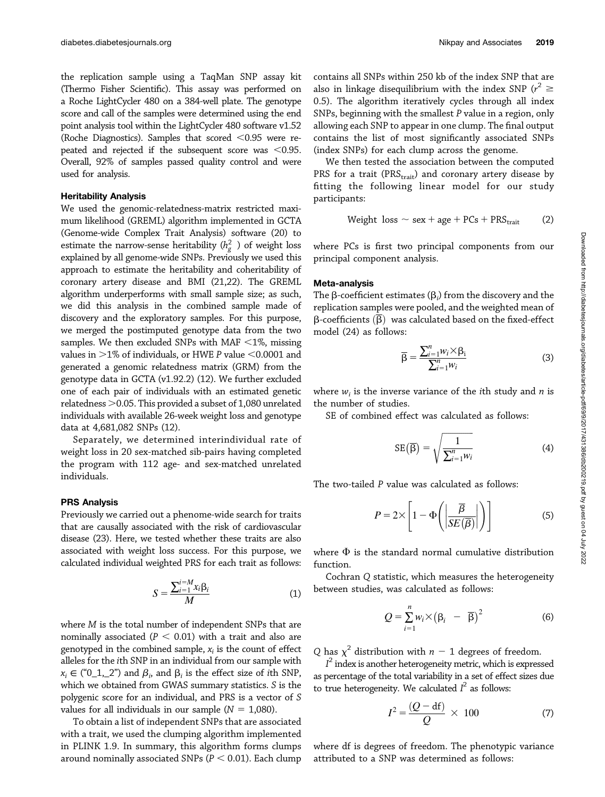We then tested the association between the computed PRS for a trait ( $PRS<sub>trait</sub>$ ) and coronary artery disease by fitting the following linear model for our study participants:

Weight loss 
$$
\sim
$$
 sex + age + PCs + PRS<sub>trait</sub> (2)

where PCs is first two principal components from our principal component analysis.

#### Meta-analysis

The  $\beta$ -coefficient estimates ( $\beta_i$ ) from the discovery and the replication samples were pooled, and the weighted mean of  $\beta$ -coefficients  $\overline{(\beta)}$  was calculated based on the fixed-effect model (24) as follows:

$$
\overline{\beta} = \frac{\sum_{i=1}^{n} w_i \times \beta_i}{\sum_{i=1}^{n} w_i}
$$
 (3)

where  $w_i$  is the inverse variance of the *i*th study and *n* is the number of studies.

SE of combined effect was calculated as follows:

$$
SE\left(\overline{\beta}\right) = \sqrt{\frac{1}{\sum_{i=1}^{n} w_i}}
$$
 (4)

The two-tailed P value was calculated as follows:

$$
P = 2 \times \left[ 1 - \Phi\left( \left| \frac{\overline{\beta}}{SE\left( \overline{\beta} \right)} \right| \right) \right]
$$
 (5)

where  $\Phi$  is the standard normal cumulative distribution function.

Cochran Q statistic, which measures the heterogeneity between studies, was calculated as follows:

$$
Q = \sum_{i=1}^{n} w_i \times (\beta_i - \overline{\beta})^2
$$
 (6)

Q has  $\chi^2$  distribution with  $n-1$  degrees of freedom.

as percentage of the total variability in a set of effect sizes due  $I<sup>2</sup>$  index is another heterogeneity metric, which is expressed to true heterogeneity. We calculated  $I^2$  as follows:

$$
I^2 = \frac{(Q - df)}{Q} \times 100\tag{7}
$$

where df is degrees of freedom. The phenotypic variance attributed to a SNP was determined as follows:

the replication sample using a TaqMan SNP assay kit (Thermo Fisher Scientific). This assay was performed on a Roche LightCycler 480 on a 384-well plate. The genotype score and call of the samples were determined using the end point analysis tool within the LightCycler 480 software v1.52 (Roche Diagnostics). Samples that scored  $< 0.95$  were repeated and rejected if the subsequent score was  $<$ 0.95. Overall, 92% of samples passed quality control and were used for analysis.

# Heritability Analysis

We used the genomic-relatedness-matrix restricted maximum likelihood (GREML) algorithm implemented in GCTA (Genome-wide Complex Trait Analysis) software (20) to estimate the narrow-sense heritability  $(h_g^2)$  of weight loss<br>explained by all genome-wide SNPs. Previously we used this explained by all genome-wide SNPs. Previously we used this approach to estimate the heritability and coheritability of coronary artery disease and BMI (21,22). The GREML algorithm underperforms with small sample size; as such, we did this analysis in the combined sample made of discovery and the exploratory samples. For this purpose, we merged the postimputed genotype data from the two samples. We then excluded SNPs with MAF  $<$ 1%, missing values in  $>1\%$  of individuals, or HWE P value  $<$  0.0001 and generated a genomic relatedness matrix (GRM) from the genotype data in GCTA (v1.92.2) (12). We further excluded one of each pair of individuals with an estimated genetic relatedness  $>$  0.05. This provided a subset of 1,080 unrelated individuals with available 26-week weight loss and genotype data at 4,681,082 SNPs (12).

Separately, we determined interindividual rate of weight loss in 20 sex-matched sib-pairs having completed the program with 112 age- and sex-matched unrelated individuals.

# PRS Analysis

Previously we carried out a phenome-wide search for traits that are causally associated with the risk of cardiovascular disease (23). Here, we tested whether these traits are also associated with weight loss success. For this purpose, we calculated individual weighted PRS for each trait as follows:

$$
S = \frac{\sum_{i=1}^{i=M} x_i \beta_i}{M} \tag{1}
$$

where M is the total number of independent SNPs that are nominally associated ( $P < 0.01$ ) with a trait and also are genotyped in the combined sample,  $x_i$  is the count of effect alleles for the ith SNP in an individual from our sample with  $x_i \in ("0_1, 2")$  and  $\beta_i$ , and  $\beta_i$  is the effect size of ith SNP,<br>which we obtained from GWAS summary statistics. S is the which we obtained from GWAS summary statistics. S is the polygenic score for an individual, and PRS is a vector of S values for all individuals in our sample ( $N = 1,080$ ).

To obtain a list of independent SNPs that are associated with a trait, we used the clumping algorithm implemented in PLINK 1.9. In summary, this algorithm forms clumps around nominally associated SNPs ( $P < 0.01$ ). Each clump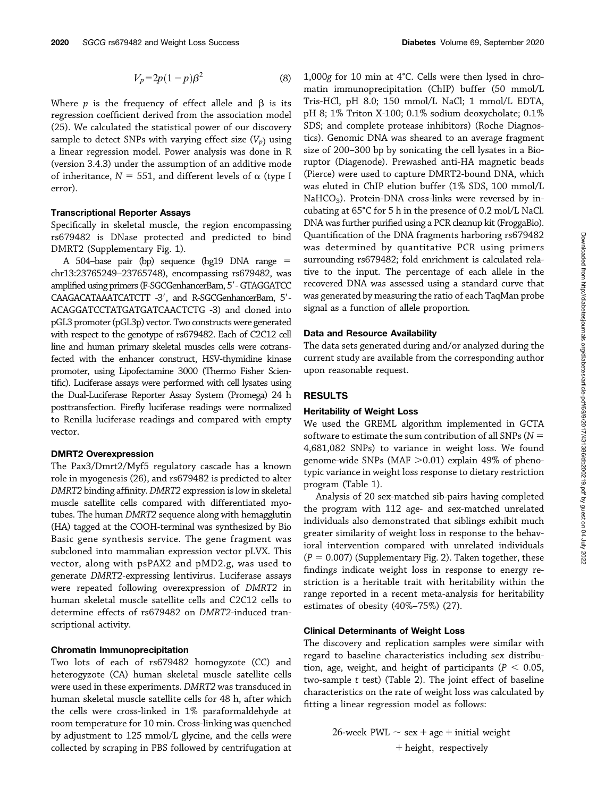$$
V_p = 2p(1-p)\beta^2\tag{8}
$$

Where  $p$  is the frequency of effect allele and  $\beta$  is its regression coefficient derived from the association model (25). We calculated the statistical power of our discovery sample to detect SNPs with varying effect size  $(V_p)$  using a linear regression model. Power analysis was done in R (version 3.4.3) under the assumption of an additive mode of inheritance,  $N = 551$ , and different levels of  $\alpha$  (type I error).

#### Transcriptional Reporter Assays

Specifically in skeletal muscle, the region encompassing rs679482 is DNase protected and predicted to bind DMRT2 ([Supplementary Fig. 1\)](https://doi.org/10.2337/figshare.12448796).

A 504–base pair (bp) sequence (hg19 DNA range  $=$ chr13:23765249–23765748), encompassing rs679482, was amplified using primers (F-SGCGenhancerBam, 5' - GTAGGATCC CAAGACATAAATCATCTT -3', and R-SGCGenhancerBam, 5'-ACAGGATCCTATGATGATCAACTCTG -3) and cloned into pGL3 promoter (pGL3p) vector. Two constructs were generated with respect to the genotype of rs679482. Each of C2C12 cell line and human primary skeletal muscles cells were cotransfected with the enhancer construct, HSV-thymidine kinase promoter, using Lipofectamine 3000 (Thermo Fisher Scientific). Luciferase assays were performed with cell lysates using the Dual-Luciferase Reporter Assay System (Promega) 24 h posttransfection. Firefly luciferase readings were normalized to Renilla luciferase readings and compared with empty vector.

## DMRT2 Overexpression

The Pax3/Dmrt2/Myf5 regulatory cascade has a known role in myogenesis (26), and rs679482 is predicted to alter DMRT2 binding affinity. DMRT2 expression is low in skeletal muscle satellite cells compared with differentiated myotubes. The human DMRT2 sequence along with hemagglutin (HA) tagged at the COOH-terminal was synthesized by Bio Basic gene synthesis service. The gene fragment was subcloned into mammalian expression vector pLVX. This vector, along with psPAX2 and pMD2.g, was used to generate DMRT2-expressing lentivirus. Luciferase assays were repeated following overexpression of DMRT2 in human skeletal muscle satellite cells and C2C12 cells to determine effects of rs679482 on DMRT2-induced transcriptional activity.

#### Chromatin Immunoprecipitation

Two lots of each of rs679482 homogyzote (CC) and heterogyzote (CA) human skeletal muscle satellite cells were used in these experiments. DMRT2 was transduced in human skeletal muscle satellite cells for 48 h, after which the cells were cross-linked in 1% paraformaldehyde at room temperature for 10 min. Cross-linking was quenched by adjustment to 125 mmol/L glycine, and the cells were collected by scraping in PBS followed by centrifugation at 1,000g for 10 min at 4°C. Cells were then lysed in chromatin immunoprecipitation (ChIP) buffer (50 mmol/L Tris-HCl, pH 8.0; 150 mmol/L NaCl; 1 mmol/L EDTA, pH 8; 1% Triton X-100; 0.1% sodium deoxycholate; 0.1% SDS; and complete protease inhibitors) (Roche Diagnostics). Genomic DNA was sheared to an average fragment size of 200–300 bp by sonicating the cell lysates in a Bioruptor (Diagenode). Prewashed anti-HA magnetic beads (Pierce) were used to capture DMRT2-bound DNA, which was eluted in ChIP elution buffer (1% SDS, 100 mmol/L  $NaHCO<sub>3</sub>$ ). Protein-DNA cross-links were reversed by incubating at 65°C for 5 h in the presence of 0.2 mol/L NaCl. DNA was further purified using a PCR cleanup kit (FroggaBio). Quantification of the DNA fragments harboring rs679482 was determined by quantitative PCR using primers surrounding rs679482; fold enrichment is calculated relative to the input. The percentage of each allele in the recovered DNA was assessed using a standard curve that was generated by measuring the ratio of each TaqMan probe signal as a function of allele proportion.

#### Data and Resource Availability

The data sets generated during and/or analyzed during the current study are available from the corresponding author upon reasonable request.

# RESULTS

#### Heritability of Weight Loss

We used the GREML algorithm implemented in GCTA software to estimate the sum contribution of all SNPs ( $N =$ 4,681,082 SNPs) to variance in weight loss. We found genome-wide SNPs (MAF  $>$  0.01) explain 49% of phenotypic variance in weight loss response to dietary restriction program (Table 1).

Analysis of 20 sex-matched sib-pairs having completed the program with 112 age- and sex-matched unrelated individuals also demonstrated that siblings exhibit much greater similarity of weight loss in response to the behavioral intervention compared with unrelated individuals  $(P = 0.007)$  ([Supplementary Fig. 2](https://doi.org/10.2337/figshare.12448796)). Taken together, these findings indicate weight loss in response to energy restriction is a heritable trait with heritability within the range reported in a recent meta-analysis for heritability estimates of obesity (40%–75%) (27).

## Clinical Determinants of Weight Loss

The discovery and replication samples were similar with regard to baseline characteristics including sex distribution, age, weight, and height of participants ( $P < 0.05$ , two-sample  $t$  test) (Table 2). The joint effect of baseline characteristics on the rate of weight loss was calculated by fitting a linear regression model as follows:

> 26-week PWL  $\sim$  sex + age + initial weight  $+$  height, respectively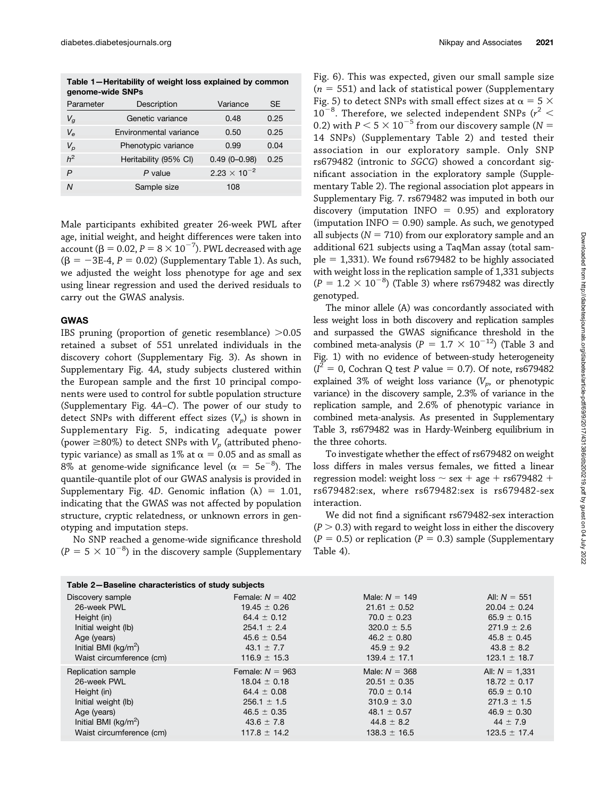Table 1—Heritability of weight loss explained by common genome-wide SNPs

| Parameter      | Description            | Variance              | <b>SE</b> |
|----------------|------------------------|-----------------------|-----------|
| $V_q$          | Genetic variance       | 0.48                  | 0.25      |
| $V_{\rm e}$    | Environmental variance | 0.50                  | 0.25      |
| $V_p$          | Phenotypic variance    | 0.99                  | 0.04      |
| h <sup>2</sup> | Heritability (95% CI)  | $0.49(0 - 0.98)$      | 0.25      |
| P              | $P$ value              | $2.23 \times 10^{-2}$ |           |
| N              | Sample size            | 108                   |           |
|                |                        |                       |           |

Male participants exhibited greater 26-week PWL after age, initial weight, and height differences were taken into account  $(\beta = 0.02, P = 8 \times 10^{-7})$ . PWL decreased with age  $(8 = -3E_A)$   $P = 0.02$  (Supplementary Table 1), As such  $(\beta = -3E-4, P = 0.02)$  [\(Supplementary Table 1](https://doi.org/10.2337/figshare.12448796)). As such, we adjusted the weight loss phenotype for age and sex using linear regression and used the derived residuals to carry out the GWAS analysis.

## GWAS

IBS pruning (proportion of genetic resemblance)  $>0.05$ retained a subset of 551 unrelated individuals in the discovery cohort [\(Supplementary Fig. 3\)](https://doi.org/10.2337/figshare.12448796). As shown in [Supplementary Fig. 4](https://doi.org/10.2337/figshare.12448796)A, study subjects clustered within the European sample and the first 10 principal components were used to control for subtle population structure ([Supplementary Fig. 4](https://doi.org/10.2337/figshare.12448796)A–C). The power of our study to detect SNPs with different effect sizes  $(V_p)$  is shown in [Supplementary Fig. 5,](https://doi.org/10.2337/figshare.12448796) indicating adequate power (power  $\geq$ 80%) to detect SNPs with  $V_p$  (attributed phenotypic variance) as small as 1% at  $\alpha$  = 0.05 and as small as  $8\%$  at genome-wide significance level ( $\alpha = 5e^{-8}$ ). The guantile-quantile plot of our GMAS analysis is provided in quantile-quantile plot of our GWAS analysis is provided in [Supplementary Fig. 4](https://doi.org/10.2337/figshare.12448796)D. Genomic inflation  $(\lambda) = 1.01$ , indicating that the GWAS was not affected by population structure, cryptic relatedness, or unknown errors in genotyping and imputation steps.

No SNP reached a genome-wide significance threshold  $(P = 5 \times 10^{-8})$  in the discovery sample [\(Supplementary](https://doi.org/10.2337/figshare.12448796)

[Fig. 6](https://doi.org/10.2337/figshare.12448796)). This was expected, given our small sample size  $(n = 551)$  and lack of statistical power ([Supplementary](https://doi.org/10.2337/figshare.12448796) [Fig. 5](https://doi.org/10.2337/figshare.12448796)) to detect SNPs with small effect sizes at  $\alpha = 5 \times$ 10<sup>-8</sup>. Therefore, we selected independent SNPs ( $r^2$  < 0.2) with  $R < 5 \times 10^{-5}$  from our discovery sample ( $N =$ 0.2) with  $P < 5 \times 10^{-5}$  from our discovery sample (N = 14 SNPs) [\(Supplementary Table 2\)](https://doi.org/10.2337/figshare.12448796) and tested their association in our exploratory sample. Only SNP rs679482 (intronic to SGCG) showed a concordant significant association in the exploratory sample [\(Supple](https://doi.org/10.2337/figshare.12448796)[mentary Table 2](https://doi.org/10.2337/figshare.12448796)). The regional association plot appears in [Supplementary Fig. 7](https://doi.org/10.2337/figshare.12448796). rs679482 was imputed in both our discovery (imputation INFO  $= 0.95$ ) and exploratory (imputation INFO  $= 0.90$ ) sample. As such, we genotyped all subjects ( $N = 710$ ) from our exploratory sample and an additional 621 subjects using a TaqMan assay (total sam $ple = 1,331$ ). We found rs679482 to be highly associated with weight loss in the replication sample of 1,331 subjects  $(P = 1.2 \times 10^{-8})$  (Table 3) where rs679482 was directly genotyped.

The minor allele (A) was concordantly associated with less weight loss in both discovery and replication samples and surpassed the GWAS significance threshold in the combined meta-analysis ( $P = 1.7 \times 10^{-12}$ ) (Table 3 and Fig. 1) with no evidence of between-study heterogeneity  $(I^2 = 0$ , Cochran Q test P value = 0.7). Of note, rs679482 explained 3% of weight loss variance  $(V_p,$  or phenotypic variance) in the discovery sample, 2.3% of variance in the replication sample, and 2.6% of phenotypic variance in combined meta-analysis. As presented in [Supplementary](https://doi.org/10.2337/figshare.12448796) [Table 3](https://doi.org/10.2337/figshare.12448796), rs679482 was in Hardy-Weinberg equilibrium in the three cohorts.

To investigate whether the effect of rs679482 on weight loss differs in males versus females, we fitted a linear regression model: weight loss  $\sim$  sex + age + rs679482 + rs679482:sex, where rs679482:sex is rs679482-sex interaction.

We did not find a significant rs679482-sex interaction  $(P > 0.3)$  with regard to weight loss in either the discovery  $(P = 0.5)$  or replication  $(P = 0.3)$  sample [\(Supplementary](https://doi.org/10.2337/figshare.12448796) [Table 4](https://doi.org/10.2337/figshare.12448796)).

| Table 2-Baseline characteristics of study subjects |                   |                  |                  |  |  |
|----------------------------------------------------|-------------------|------------------|------------------|--|--|
| Discovery sample                                   | Female: $N = 402$ | Male: $N = 149$  | All: $N = 551$   |  |  |
| 26-week PWL                                        | $19.45 \pm 0.26$  | $21.61 \pm 0.52$ | $20.04 \pm 0.24$ |  |  |
| Height (in)                                        | 64.4 $\pm$ 0.12   | $70.0 \pm 0.23$  | $65.9 \pm 0.15$  |  |  |
| Initial weight (lb)                                | $254.1 \pm 2.4$   | $320.0 \pm 5.5$  | $271.9 \pm 2.6$  |  |  |
| Age (years)                                        | $45.6 \pm 0.54$   | $46.2 \pm 0.80$  | $45.8 \pm 0.45$  |  |  |
| Initial BMI ( $kg/m^2$ )                           | 43.1 $\pm$ 7.7    | $45.9 \pm 9.2$   | $43.8 \pm 8.2$   |  |  |
| Waist circumference (cm)                           | $116.9 \pm 15.3$  | $139.4 \pm 17.1$ | $123.1 \pm 18.7$ |  |  |
| Replication sample                                 | Female: $N = 963$ | Male: $N = 368$  | All: $N = 1,331$ |  |  |
| 26-week PWL                                        | $18.04 \pm 0.18$  | $20.51 \pm 0.35$ | $18.72 \pm 0.17$ |  |  |
| Height (in)                                        | 64.4 $\pm$ 0.08   | $70.0 \pm 0.14$  | $65.9 \pm 0.10$  |  |  |
| Initial weight (lb)                                | $256.1 \pm 1.5$   | $310.9 \pm 3.0$  | $271.3 \pm 1.5$  |  |  |
| Age (years)                                        | $46.5 \pm 0.35$   | 48.1 $\pm$ 0.57  | $46.9 \pm 0.30$  |  |  |
| Initial BMI ( $kg/m2$ )                            | $43.6 \pm 7.8$    | $44.8 \pm 8.2$   | $44 \pm 7.9$     |  |  |
| Waist circumference (cm)                           | $117.8 \pm 14.2$  | $138.3 \pm 16.5$ | $123.5 \pm 17.4$ |  |  |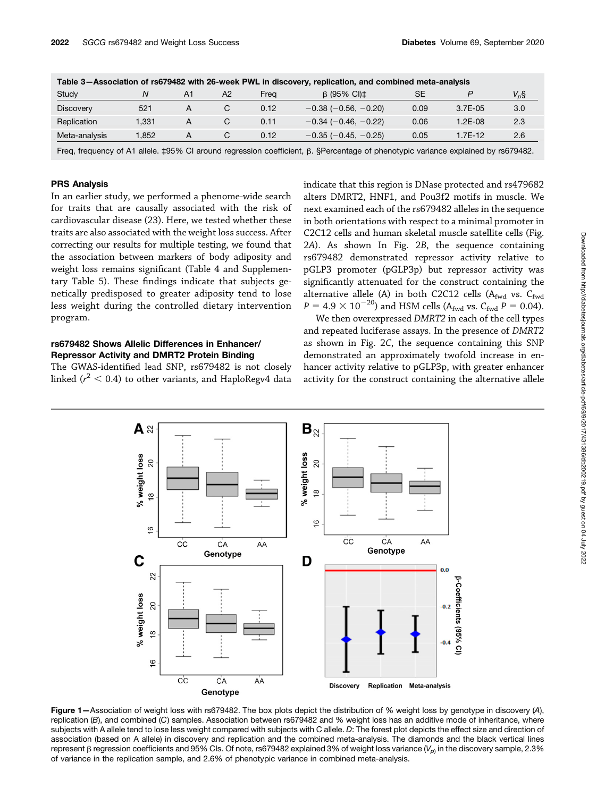| Table 3-Association of rs679482 with 26-week PWL in discovery, replication, and combined meta-analysis |       |    |    |      |                               |      |            |           |
|--------------------------------------------------------------------------------------------------------|-------|----|----|------|-------------------------------|------|------------|-----------|
| Study                                                                                                  |       | A1 | A2 | Frea | $\beta$ (95% CI) $\pm$        | SE   |            | $V_{p}$ § |
| <b>Discovery</b>                                                                                       | 521   |    |    | 0.12 | $-0.38$ ( $-0.56$ , $-0.20$ ) | 0.09 | $3.7E-0.5$ | 3.0       |
| Replication                                                                                            | 1.331 |    |    | 0.11 | $-0.34$ ( $-0.46$ , $-0.22$ ) | 0.06 | 1.2F-08    | 2.3       |
| Meta-analysis                                                                                          | .852  | А  | С  | 0.12 | $-0.35$ ( $-0.45, -0.25$ )    | 0.05 | 1.7E-12    | 2.6       |

Freq, frequency of A1 allele. ‡95% CI around regression coefficient, β. §Percentage of phenotypic variance explained by rs679482.

## PRS Analysis

In an earlier study, we performed a phenome-wide search for traits that are causally associated with the risk of cardiovascular disease (23). Here, we tested whether these traits are also associated with the weight loss success. After correcting our results for multiple testing, we found that the association between markers of body adiposity and weight loss remains significant (Table 4 and [Supplemen](https://doi.org/10.2337/figshare.12448796)[tary Table 5\)](https://doi.org/10.2337/figshare.12448796). These findings indicate that subjects genetically predisposed to greater adiposity tend to lose less weight during the controlled dietary intervention program.

# rs679482 Shows Allelic Differences in Enhancer/ Repressor Activity and DMRT2 Protein Binding

The GWAS-identified lead SNP, rs679482 is not closely linked ( $r^2$   $<$  0.4) to other variants, and HaploRegv4 data indicate that this region is DNase protected and rs479682 alters DMRT2, HNF1, and Pou3f2 motifs in muscle. We next examined each of the rs679482 alleles in the sequence in both orientations with respect to a minimal promoter in C2C12 cells and human skeletal muscle satellite cells (Fig. <sup>2</sup>A). As shown In Fig. 2B, the sequence containing rs679482 demonstrated repressor activity relative to pGLP3 promoter (pGLP3p) but repressor activity was significantly attenuated for the construct containing the alternative allele (A) in both C2C12 cells ( $A_{fwd}$  vs.  $C_{fwd}$  $P = 4.9 \times 10^{-20}$ ) and HSM cells (A<sub>fwd</sub> vs. C<sub>fwd</sub> P = 0.04).

We then overexpressed DMRT2 in each of the cell types and repeated luciferase assays. In the presence of DMRT2 as shown in Fig. 2C, the sequence containing this SNP demonstrated an approximately twofold increase in enhancer activity relative to pGLP3p, with greater enhancer activity for the construct containing the alternative allele



Figure 1-Association of weight loss with rs679482. The box plots depict the distribution of % weight loss by genotype in discovery (A), replication (B), and combined (C) samples. Association between rs679482 and % weight loss has an additive mode of inheritance, where subjects with A allele tend to lose less weight compared with subjects with C allele. D: The forest plot depicts the effect size and direction of association (based on A allele) in discovery and replication and the combined meta-analysis. The diamonds and the black vertical lines represent  $\beta$  regression coefficients and 95% CIs. Of note, rs679482 explained 3% of weight loss variance ( $V_{D}$ ) in the discovery sample, 2.3% of variance in the replication sample, and 2.6% of phenotypic variance in combined meta-analysis.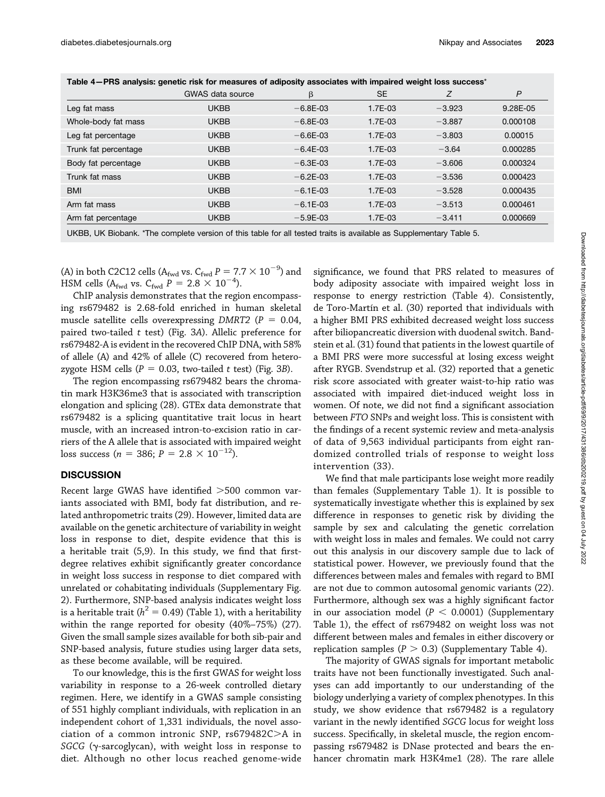|                      | <b>GWAS</b> data source | β            | <b>SE</b> | Ζ        | P        |
|----------------------|-------------------------|--------------|-----------|----------|----------|
| Leg fat mass         | UKBB                    | $-6.8E - 03$ | 1.7E-03   | $-3.923$ | 9.28E-05 |
| Whole-body fat mass  | UKBB                    | $-6.8E - 03$ | $1.7E-03$ | $-3.887$ | 0.000108 |
| Leg fat percentage   | <b>UKBB</b>             | $-6.6E - 03$ | $1.7E-03$ | $-3.803$ | 0.00015  |
| Trunk fat percentage | UKBB                    | $-6.4E-03$   | $1.7E-03$ | $-3.64$  | 0.000285 |
| Body fat percentage  | UKBB                    | $-6.3E - 03$ | 1.7E-03   | $-3.606$ | 0.000324 |
| Trunk fat mass       | UKBB                    | $-6.2E - 03$ | 1.7E-03   | $-3.536$ | 0.000423 |
| <b>BMI</b>           | UKBB                    | $-6.1E-03$   | 1.7E-03   | $-3.528$ | 0.000435 |
| Arm fat mass         | UKBB                    | $-6.1E-03$   | $1.7E-03$ | $-3.513$ | 0.000461 |
| Arm fat percentage   | UKBB                    | $-5.9E-03$   | 1.7E-03   | $-3.411$ | 0.000669 |
|                      |                         |              |           |          |          |

Table 4-PRS analysis: genetic risk for measures of adiposity associates with impaired weight loss success\*

UKBB, UK Biobank. \*The complete version of this table for all tested traits is available as [Supplementary Table 5.](https://doi.org/10.2337/figshare.12448796)

(A) in both C2C12 cells (A<sub>fwd</sub> vs. C<sub>fwd</sub>  $P = 7.7 \times 10^{-9}$ ) and HSM cells (A<sub>fv</sub> +  $V_f = 2.8 \times 10^{-4}$ ) HSM cells (A<sub>fwd</sub> vs.  $C_{\text{fwd}} P = 2.8 \times 10^{-4}$ ).<br>ChIP analysis demonstrates that the regio

ChIP analysis demonstrates that the region encompassing rs679482 is 2.68-fold enriched in human skeletal muscle satellite cells overexpressing DMRT2 ( $P = 0.04$ , paired two-tailed  $t$  test) (Fig. 3A). Allelic preference for rs679482-A is evident in the recovered ChIP DNA, with 58% of allele (A) and 42% of allele (C) recovered from heterozygote HSM cells ( $P = 0.03$ , two-tailed t test) (Fig. 3B).

The region encompassing rs679482 bears the chromatin mark H3K36me3 that is associated with transcription elongation and splicing (28). GTEx data demonstrate that rs679482 is a splicing quantitative trait locus in heart muscle, with an increased intron-to-excision ratio in carriers of the A allele that is associated with impaired weight loss success ( $n = 386$ ;  $P = 2.8 \times 10^{-12}$ ).

## **DISCUSSION**

Recent large GWAS have identified  $>500$  common variants associated with BMI, body fat distribution, and related anthropometric traits (29). However, limited data are available on the genetic architecture of variability in weight loss in response to diet, despite evidence that this is a heritable trait (5,9). In this study, we find that firstdegree relatives exhibit significantly greater concordance in weight loss success in response to diet compared with unrelated or cohabitating individuals ([Supplementary Fig.](https://doi.org/10.2337/figshare.12448796) [2\)](https://doi.org/10.2337/figshare.12448796). Furthermore, SNP-based analysis indicates weight loss is a heritable trait ( $h^2 = 0.49$ ) (Table 1), with a heritability within the range reported for obesity (40%–75%) (27). Given the small sample sizes available for both sib-pair and SNP-based analysis, future studies using larger data sets, as these become available, will be required.

To our knowledge, this is the first GWAS for weight loss variability in response to a 26-week controlled dietary regimen. Here, we identify in a GWAS sample consisting of 551 highly compliant individuals, with replication in an independent cohort of 1,331 individuals, the novel association of a common intronic SNP,  $rs679482C>A$  in SGCG (y-sarcoglycan), with weight loss in response to diet. Although no other locus reached genome-wide

significance, we found that PRS related to measures of body adiposity associate with impaired weight loss in response to energy restriction (Table 4). Consistently, de Toro-Martín et al. (30) reported that individuals with a higher BMI PRS exhibited decreased weight loss success after biliopancreatic diversion with duodenal switch. Bandstein et al. (31) found that patients in the lowest quartile of a BMI PRS were more successful at losing excess weight after RYGB. Svendstrup et al. (32) reported that a genetic risk score associated with greater waist-to-hip ratio was associated with impaired diet-induced weight loss in women. Of note, we did not find a significant association between FTO SNPs and weight loss. This is consistent with the findings of a recent systemic review and meta-analysis of data of 9,563 individual participants from eight randomized controlled trials of response to weight loss intervention (33).

We find that male participants lose weight more readily than females ([Supplementary Table 1\)](https://doi.org/10.2337/figshare.12448796). It is possible to systematically investigate whether this is explained by sex difference in responses to genetic risk by dividing the sample by sex and calculating the genetic correlation with weight loss in males and females. We could not carry out this analysis in our discovery sample due to lack of statistical power. However, we previously found that the differences between males and females with regard to BMI are not due to common autosomal genomic variants (22). Furthermore, although sex was a highly significant factor in our association model ( $P < 0.0001$ ) [\(Supplementary](https://doi.org/10.2337/figshare.12448796) [Table 1\)](https://doi.org/10.2337/figshare.12448796), the effect of rs679482 on weight loss was not different between males and females in either discovery or replication samples ( $P > 0.3$ ) [\(Supplementary Table 4\)](https://doi.org/10.2337/figshare.12448796).

The majority of GWAS signals for important metabolic traits have not been functionally investigated. Such analyses can add importantly to our understanding of the biology underlying a variety of complex phenotypes. In this study, we show evidence that rs679482 is a regulatory variant in the newly identified SGCG locus for weight loss success. Specifically, in skeletal muscle, the region encompassing rs679482 is DNase protected and bears the enhancer chromatin mark H3K4me1 (28). The rare allele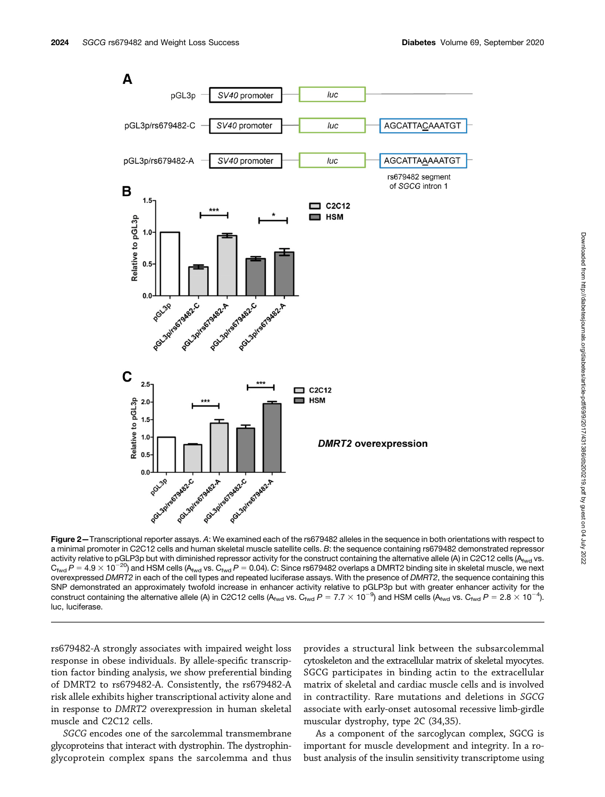

Figure 2-Transcriptional reporter assays. A: We examined each of the rs679482 alleles in the sequence in both orientations with respect to a minimal promoter in C2C12 cells and human skeletal muscle satellite cells. B: the sequence containing rs679482 demonstrated repressor activity relative to pGLP3p but with diminished repressor activity for the construct containing the alternative allele (A) in C2C12 cells (Afwd vs.  $C_{\text{fwd}}P = 4.9 \times 10^{-20}$ ) and HSM cells (A<sub>fwd</sub> vs.  $C_{\text{fwd}}P = 0.04$ ). C: Since rs679482 overlaps a DMRT2 binding site in skeletal muscle, we next overexpressed DMRT2 in each of the cell types and repeated luciferase assays. With the presence of DMRT2, the sequence containing this SNP demonstrated an approximately twofold increase in enhancer activity relative to pGLP3p but with greater enhancer activity for the construct containing the alternative allele (A) in C2C12 cells (A<sub>fwd</sub> vs. C<sub>fwd</sub> P = 7.7  $\times$  10<sup>-9</sup>) and HSM cells (A<sub>fwd</sub> vs. C<sub>fwd</sub> P = 2.8  $\times$  10<sup>-4</sup>). luc, luciferase.

rs679482-A strongly associates with impaired weight loss response in obese individuals. By allele-specific transcription factor binding analysis, we show preferential binding of DMRT2 to rs679482-A. Consistently, the rs679482-A risk allele exhibits higher transcriptional activity alone and in response to DMRT2 overexpression in human skeletal muscle and C2C12 cells.

SGCG encodes one of the sarcolemmal transmembrane glycoproteins that interact with dystrophin. The dystrophinglycoprotein complex spans the sarcolemma and thus provides a structural link between the subsarcolemmal cytoskeleton and the extracellular matrix of skeletal myocytes. SGCG participates in binding actin to the extracellular matrix of skeletal and cardiac muscle cells and is involved in contractility. Rare mutations and deletions in SGCG associate with early-onset autosomal recessive limb-girdle muscular dystrophy, type 2C (34,35).

As a component of the sarcoglycan complex, SGCG is important for muscle development and integrity. In a robust analysis of the insulin sensitivity transcriptome using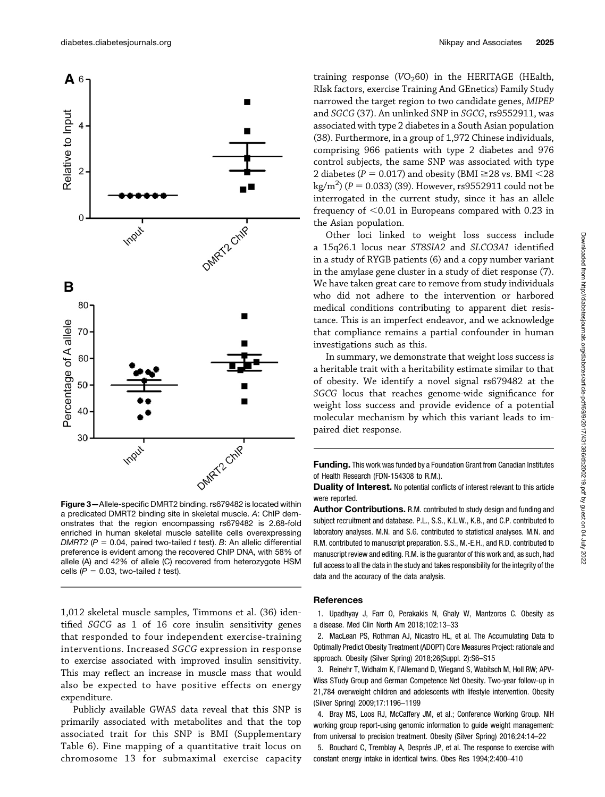

Figure 3—Allele-specific DMRT2 binding. rs679482 is located within a predicated DMRT2 binding site in skeletal muscle. A: ChIP demonstrates that the region encompassing rs679482 is 2.68-fold enriched in human skeletal muscle satellite cells overexpressing DMRT2 ( $P = 0.04$ , paired two-tailed t test). B: An allelic differential preference is evident among the recovered ChIP DNA, with 58% of allele (A) and 42% of allele (C) recovered from heterozygote HSM cells ( $P = 0.03$ , two-tailed t test).

1,012 skeletal muscle samples, Timmons et al. (36) identified SGCG as 1 of 16 core insulin sensitivity genes that responded to four independent exercise-training interventions. Increased SGCG expression in response to exercise associated with improved insulin sensitivity. This may reflect an increase in muscle mass that would also be expected to have positive effects on energy expenditure.

Publicly available GWAS data reveal that this SNP is primarily associated with metabolites and that the top associated trait for this SNP is BMI [\(Supplementary](https://doi.org/10.2337/figshare.12448796) [Table 6](https://doi.org/10.2337/figshare.12448796)). Fine mapping of a quantitative trait locus on chromosome 13 for submaximal exercise capacity

training response ( $VO<sub>2</sub>60$ ) in the HERITAGE (HEalth, RIsk factors, exercise Training And GEnetics) Family Study narrowed the target region to two candidate genes, MIPEP and SGCG (37). An unlinked SNP in SGCG, rs9552911, was associated with type 2 diabetes in a South Asian population (38). Furthermore, in a group of 1,972 Chinese individuals, comprising 966 patients with type 2 diabetes and 976 control subjects, the same SNP was associated with type 2 diabetes ( $P = 0.017$ ) and obesity (BMI  $\geq$ 28 vs. BMI  $\leq$ 28  $\text{kg/m}^2$ ) (P = 0.033) (39). However, rs9552911 could not be interrogated in the current study since it has an allele interrogated in the current study, since it has an allele frequency of  $<$  0.01 in Europeans compared with 0.23 in the Asian population.

Other loci linked to weight loss success include a 15q26.1 locus near ST8SIA2 and SLCO3A1 identified in a study of RYGB patients (6) and a copy number variant in the amylase gene cluster in a study of diet response (7). We have taken great care to remove from study individuals who did not adhere to the intervention or harbored medical conditions contributing to apparent diet resistance. This is an imperfect endeavor, and we acknowledge that compliance remains a partial confounder in human investigations such as this.

In summary, we demonstrate that weight loss success is a heritable trait with a heritability estimate similar to that of obesity. We identify a novel signal rs679482 at the SGCG locus that reaches genome-wide significance for weight loss success and provide evidence of a potential molecular mechanism by which this variant leads to impaired diet response.

**Funding.** This work was funded by a Foundation Grant from Canadian Institutes of Health Research (FDN-154308 to R.M.).

Duality of Interest. No potential conflicts of interest relevant to this article were reported.

Author Contributions. R.M. contributed to study design and funding and subject recruitment and database. P.L., S.S., K.L.W., K.B., and C.P. contributed to laboratory analyses. M.N. and S.G. contributed to statistical analyses. M.N. and R.M. contributed to manuscript preparation. S.S., M.-E.H., and R.D. contributed to manuscript review and editing. R.M. is the guarantor of this work and, as such, had full access to all the data in the study and takes responsibility for the integrity of the data and the accuracy of the data analysis.

## **References**

1. Upadhyay J, Farr O, Perakakis N, Ghaly W, Mantzoros C. Obesity as a disease. Med Clin North Am 2018;102:13–33

2. MacLean PS, Rothman AJ, Nicastro HL, et al. The Accumulating Data to Optimally Predict Obesity Treatment (ADOPT) Core Measures Project: rationale and approach. Obesity (Silver Spring) 2018;26(Suppl. 2):S6–S15

3. Reinehr T, Widhalm K, l'Allemand D, Wiegand S, Wabitsch M, Holl RW; APV-Wiss STudy Group and German Competence Net Obesity. Two-year follow-up in 21,784 overweight children and adolescents with lifestyle intervention. Obesity (Silver Spring) 2009;17:1196–1199

4. Bray MS, Loos RJ, McCaffery JM, et al.; Conference Working Group. NIH working group report-using genomic information to guide weight management: from universal to precision treatment. Obesity (Silver Spring) 2016;24:14–22

5. Bouchard C, Tremblay A, Després JP, et al. The response to exercise with constant energy intake in identical twins. Obes Res 1994;2:400–410